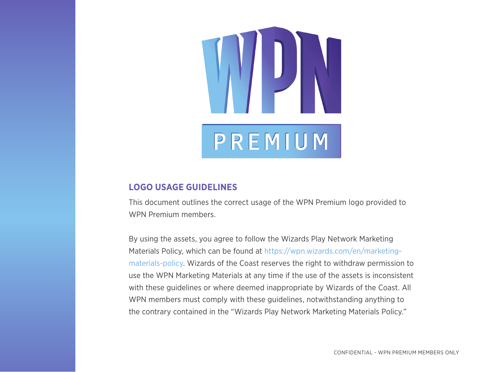# PREMIUM

#### **LOGO USAGE GUIDELINES**

This document outlines the correct usage of the WPN Premium logo provided to WPN Premium members.

By using the assets, you agree to follow the Wizards Play Network Marketing Materials Policy, which can be found at [https://wpn.wizards.com/en/marketing](https://wpn.wizards.com/en/marketing-materials-policy)[materials-policy. W](https://wpn.wizards.com/en/marketing-materials-policy)izards of the Coast reserves the right to withdraw permission to use the WPN Marketing Materials at any time if the use of the assets is inconsistent with these guidelines or where deemed inappropriate by Wizards of the Coast. All WPN members must comply with these guidelines, notwithstanding anything to the contrary contained in the "Wizards Play Network Marketing Materials Policy."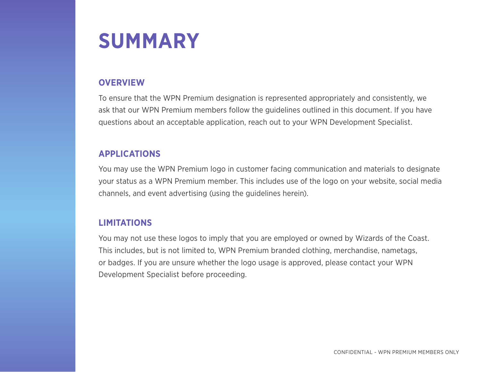### **SUMMARY**

#### **OVERVIEW**

To ensure that the WPN Premium designation is represented appropriately and consistently, we ask that our WPN Premium members follow the guidelines outlined in this document. If you have questions about an acceptable application, reach out to your WPN Development Specialist.

#### **APPLICATIONS**

You may use the WPN Premium logo in customer facing communication and materials to designate your status as a WPN Premium member. This includes use of the logo on your website, social media channels, and event advertising (using the guidelines herein).

#### **LIMITATIONS**

You may not use these logos to imply that you are employed or owned by Wizards of the Coast. This includes, but is not limited to, WPN Premium branded clothing, merchandise, nametags, or badges. If you are unsure whether the logo usage is approved, please contact your WPN Development Specialist before proceeding.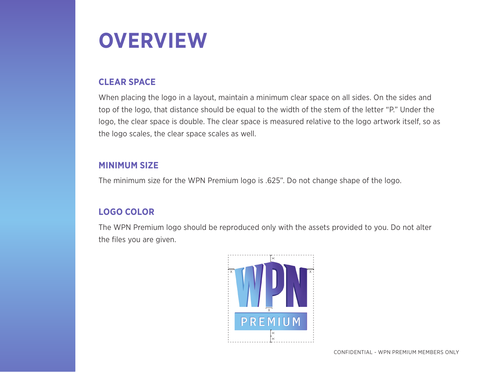

#### **CLEAR SPACE**

When placing the logo in a layout, maintain a minimum clear space on all sides. On the sides and top of the logo, that distance should be equal to the width of the stem of the letter "P." Under the logo, the clear space is double. The clear space is measured relative to the logo artwork itself, so as the logo scales, the clear space scales as well.

#### **MINIMUM SIZE**

The minimum size for the WPN Premium logo is .625". Do not change shape of the logo.

#### **LOGO COLOR**

The WPN Premium logo should be reproduced only with the assets provided to you. Do not alter the files you are given.

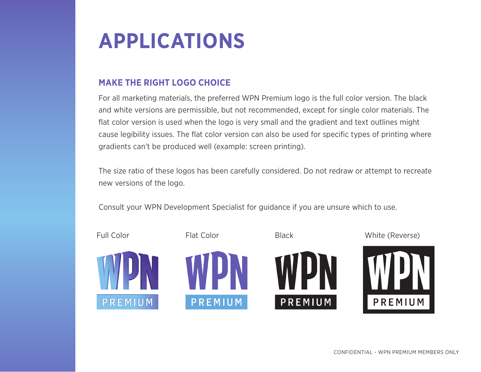## **APPLICATIONS**

#### **MAKE THE RIGHT LOGO CHOICE**

For all marketing materials, the preferred WPN Premium logo is the full color version. The black and white versions are permissible, but not recommended, except for single color materials. The flat color version is used when the logo is very small and the gradient and text outlines might cause legibility issues. The flat color version can also be used for specific types of printing where gradients can't be produced well (example: screen printing).

The size ratio of these logos has been carefully considered. Do not redraw or attempt to recreate new versions of the logo.

Consult your WPN Development Specialist for guidance if you are unsure which to use.

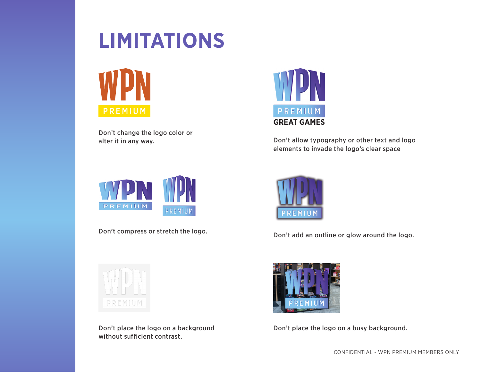## **LIMITATIONS**



Don't change the logo color or



alter it in any way. Don't allow typography or other text and logo elements to invade the logo's clear space



Don't compress or stretch the logo.



Don't place the logo on a background without sufficient contrast.



Don't add an outline or glow around the logo.



Don't place the logo on a busy background.